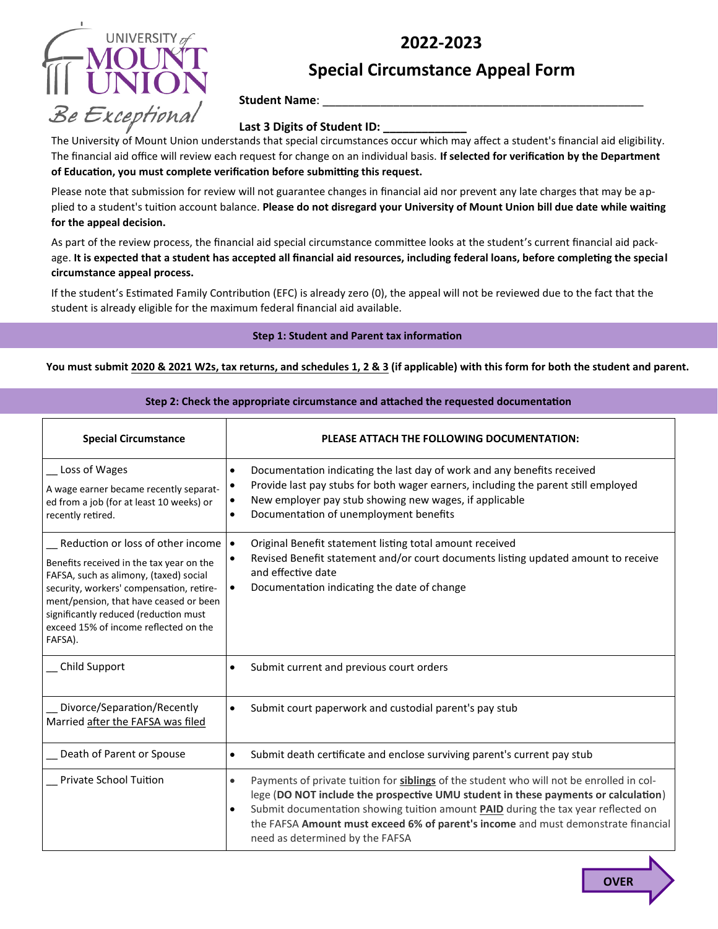## **2022-2023**



# **Special Circumstance Appeal Form**

**Student Name**: \_\_\_\_\_\_\_\_\_\_\_\_\_\_\_\_\_\_\_\_\_\_\_\_\_\_\_\_\_\_\_\_\_\_\_\_\_\_\_\_\_\_\_\_\_\_\_\_\_\_

## Last 3 Digits of Student **ID**:

The University of Mount Union understands that special circumstances occur which may affect a student's financial aid eligibility. The financial aid office will review each request for change on an individual basis. **If selected for verification by the Department of Education, you must complete verification before submitting this request.**

Please note that submission for review will not guarantee changes in financial aid nor prevent any late charges that may be applied to a student's tuition account balance. **Please do not disregard your University of Mount Union bill due date while waiting for the appeal decision.**

As part of the review process, the financial aid special circumstance committee looks at the student's current financial aid package. **It is expected that a student has accepted all financial aid resources, including federal loans, before completing the special circumstance appeal process.**

If the student's Estimated Family Contribution (EFC) is already zero (0), the appeal will not be reviewed due to the fact that the student is already eligible for the maximum federal financial aid available.

### **Step 1: Student and Parent tax information**

**You must submit 2020 & 2021 W2s, tax returns, and schedules 1, 2 & 3 (if applicable) with this form for both the student and parent.**

| <b>Special Circumstance</b>                                                                                                                                                                                                                                                                                | PLEASE ATTACH THE FOLLOWING DOCUMENTATION:                                                                                                                                                                                                                                                                                                                                                                                   |  |
|------------------------------------------------------------------------------------------------------------------------------------------------------------------------------------------------------------------------------------------------------------------------------------------------------------|------------------------------------------------------------------------------------------------------------------------------------------------------------------------------------------------------------------------------------------------------------------------------------------------------------------------------------------------------------------------------------------------------------------------------|--|
| Loss of Wages<br>A wage earner became recently separat-<br>ed from a job (for at least 10 weeks) or<br>recently retired.                                                                                                                                                                                   | Documentation indicating the last day of work and any benefits received<br>$\bullet$<br>Provide last pay stubs for both wager earners, including the parent still employed<br>$\bullet$<br>New employer pay stub showing new wages, if applicable<br>$\bullet$<br>Documentation of unemployment benefits<br>$\bullet$                                                                                                        |  |
| Reduction or loss of other income<br>Benefits received in the tax year on the<br>FAFSA, such as alimony, (taxed) social<br>security, workers' compensation, retire-<br>ment/pension, that have ceased or been<br>significantly reduced (reduction must<br>exceed 15% of income reflected on the<br>FAFSA). | Original Benefit statement listing total amount received<br>$\bullet$<br>Revised Benefit statement and/or court documents listing updated amount to receive<br>$\bullet$<br>and effective date<br>Documentation indicating the date of change<br>$\bullet$                                                                                                                                                                   |  |
| Child Support                                                                                                                                                                                                                                                                                              | Submit current and previous court orders<br>$\bullet$                                                                                                                                                                                                                                                                                                                                                                        |  |
| Divorce/Separation/Recently<br>Married after the FAFSA was filed                                                                                                                                                                                                                                           | Submit court paperwork and custodial parent's pay stub                                                                                                                                                                                                                                                                                                                                                                       |  |
| Death of Parent or Spouse                                                                                                                                                                                                                                                                                  | Submit death certificate and enclose surviving parent's current pay stub<br>$\bullet$                                                                                                                                                                                                                                                                                                                                        |  |
| <b>Private School Tuition</b>                                                                                                                                                                                                                                                                              | Payments of private tuition for siblings of the student who will not be enrolled in col-<br>$\bullet$<br>lege (DO NOT include the prospective UMU student in these payments or calculation)<br>Submit documentation showing tuition amount <b>PAID</b> during the tax year reflected on<br>$\bullet$<br>the FAFSA Amount must exceed 6% of parent's income and must demonstrate financial<br>need as determined by the FAFSA |  |

### **Step 2: Check the appropriate circumstance and attached the requested documentation**

**OVER**